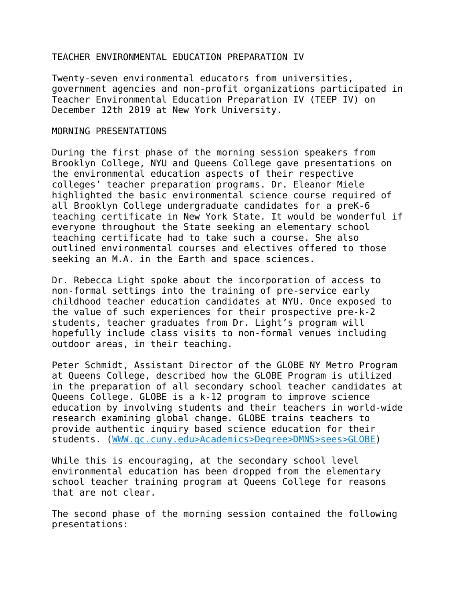## TEACHER ENVIRONMENTAL EDUCATION PREPARATION IV

Twenty-seven environmental educators from universities, government agencies and non-profit organizations participated in Teacher Environmental Education Preparation IV (TEEP IV) on December 12th 2019 at New York University.

## MORNING PRESENTATIONS

During the first phase of the morning session speakers from Brooklyn College, NYU and Queens College gave presentations on the environmental education aspects of their respective colleges' teacher preparation programs. Dr. Eleanor Miele highlighted the basic environmental science course required of all Brooklyn College undergraduate candidates for a preK-6 teaching certificate in New York State. It would be wonderful if everyone throughout the State seeking an elementary school teaching certificate had to take such a course. She also outlined environmental courses and electives offered to those seeking an M.A. in the Earth and space sciences.

Dr. Rebecca Light spoke about the incorporation of access to non-formal settings into the training of pre-service early childhood teacher education candidates at NYU. Once exposed to the value of such experiences for their prospective pre-k-2 students, teacher graduates from Dr. Light's program will hopefully include class visits to non-formal venues including outdoor areas, in their teaching.

Peter Schmidt, Assistant Director of the GLOBE NY Metro Program at Queens College, described how the GLOBE Program is utilized in the preparation of all secondary school teacher candidates at Queens College. GLOBE is a k-12 program to improve science education by involving students and their teachers in world-wide research examining global change. GLOBE trains teachers to provide authentic inquiry based science education for their students. (WWW.qc.cuny.edu>Academics>Degree>DMNS>sees>GLOBE)

While this is encouraging, at the secondary school level environmental education has been dropped from the elementary school teacher training program at Queens College for reasons that are not clear.

The second phase of the morning session contained the following presentations: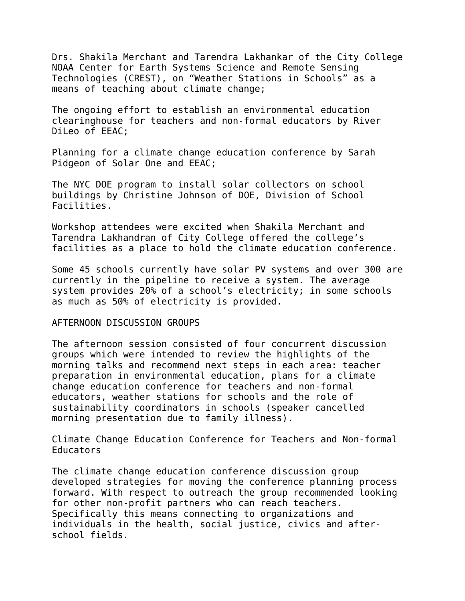Drs. Shakila Merchant and Tarendra Lakhankar of the City College NOAA Center for Earth Systems Science and Remote Sensing Technologies (CREST), on "Weather Stations in Schools" as a means of teaching about climate change;

The ongoing effort to establish an environmental education clearinghouse for teachers and non-formal educators by River DiLeo of EEAC;

Planning for a climate change education conference by Sarah Pidgeon of Solar One and EEAC;

The NYC DOE program to install solar collectors on school buildings by Christine Johnson of DOE, Division of School Facilities.

Workshop attendees were excited when Shakila Merchant and Tarendra Lakhandran of City College offered the college's facilities as a place to hold the climate education conference.

Some 45 schools currently have solar PV systems and over 300 are currently in the pipeline to receive a system. The average system provides 20% of a school's electricity; in some schools as much as 50% of electricity is provided.

## AFTERNOON DISCUSSION GROUPS

The afternoon session consisted of four concurrent discussion groups which were intended to review the highlights of the morning talks and recommend next steps in each area: teacher preparation in environmental education, plans for a climate change education conference for teachers and non-formal educators, weather stations for schools and the role of sustainability coordinators in schools (speaker cancelled morning presentation due to family illness).

Climate Change Education Conference for Teachers and Non-formal Educators

The climate change education conference discussion group developed strategies for moving the conference planning process forward. With respect to outreach the group recommended looking for other non-profit partners who can reach teachers. Specifically this means connecting to organizations and individuals in the health, social justice, civics and afterschool fields.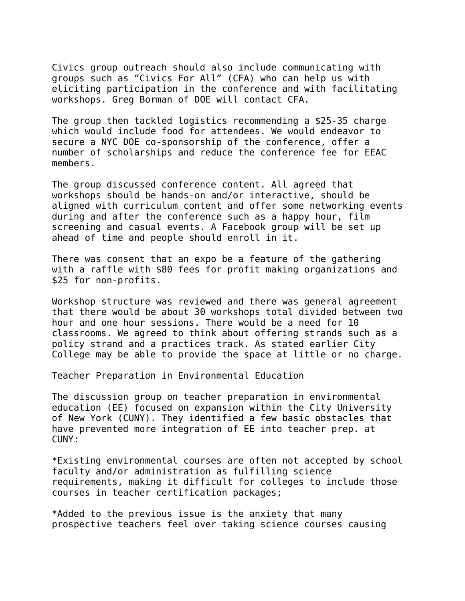Civics group outreach should also include communicating with groups such as "Civics For All" (CFA) who can help us with eliciting participation in the conference and with facilitating workshops. Greg Borman of DOE will contact CFA.

The group then tackled logistics recommending a \$25-35 charge which would include food for attendees. We would endeavor to secure a NYC DOE co-sponsorship of the conference, offer a number of scholarships and reduce the conference fee for EEAC members.

The group discussed conference content. All agreed that workshops should be hands-on and/or interactive, should be aligned with curriculum content and offer some networking events during and after the conference such as a happy hour, film screening and casual events. A Facebook group will be set up ahead of time and people should enroll in it.

There was consent that an expo be a feature of the gathering with a raffle with \$80 fees for profit making organizations and \$25 for non-profits.

Workshop structure was reviewed and there was general agreement that there would be about 30 workshops total divided between two hour and one hour sessions. There would be a need for 10 classrooms. We agreed to think about offering strands such as a policy strand and a practices track. As stated earlier City College may be able to provide the space at little or no charge.

Teacher Preparation in Environmental Education

The discussion group on teacher preparation in environmental education (EE) focused on expansion within the City University of New York (CUNY). They identified a few basic obstacles that have prevented more integration of EE into teacher prep. at CUNY:

\*Existing environmental courses are often not accepted by school faculty and/or administration as fulfilling science requirements, making it difficult for colleges to include those courses in teacher certification packages;

\*Added to the previous issue is the anxiety that many prospective teachers feel over taking science courses causing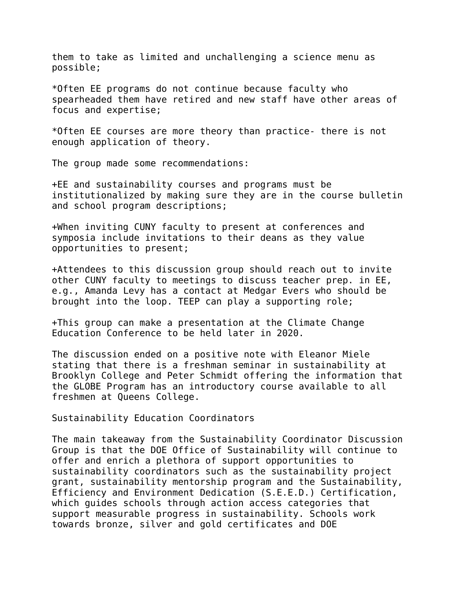them to take as limited and unchallenging a science menu as possible;

\*Often EE programs do not continue because faculty who spearheaded them have retired and new staff have other areas of focus and expertise;

\*Often EE courses are more theory than practice- there is not enough application of theory.

The group made some recommendations:

+EE and sustainability courses and programs must be institutionalized by making sure they are in the course bulletin and school program descriptions;

+When inviting CUNY faculty to present at conferences and symposia include invitations to their deans as they value opportunities to present;

+Attendees to this discussion group should reach out to invite other CUNY faculty to meetings to discuss teacher prep. in EE, e.g., Amanda Levy has a contact at Medgar Evers who should be brought into the loop. TEEP can play a supporting role;

+This group can make a presentation at the Climate Change Education Conference to be held later in 2020.

The discussion ended on a positive note with Eleanor Miele stating that there is a freshman seminar in sustainability at Brooklyn College and Peter Schmidt offering the information that the GLOBE Program has an introductory course available to all freshmen at Queens College.

Sustainability Education Coordinators

The main takeaway from the Sustainability Coordinator Discussion Group is that the DOE Office of Sustainability will continue to offer and enrich a plethora of support opportunities to sustainability coordinators such as the sustainability project grant, sustainability mentorship program and the Sustainability, Efficiency and Environment Dedication (S.E.E.D.) Certification, which guides schools through action access categories that support measurable progress in sustainability. Schools work towards bronze, silver and gold certificates and DOE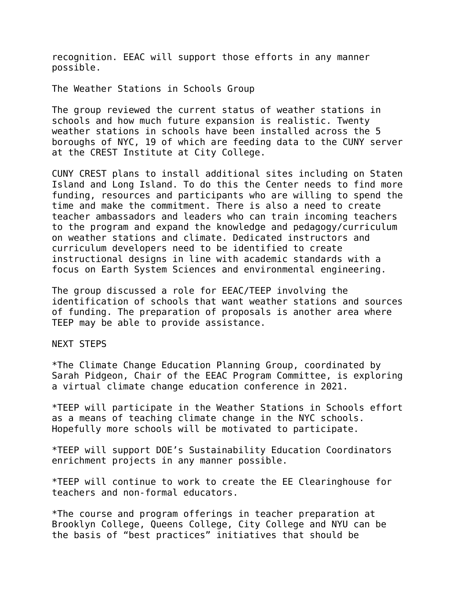recognition. EEAC will support those efforts in any manner possible.

The Weather Stations in Schools Group

The group reviewed the current status of weather stations in schools and how much future expansion is realistic. Twenty weather stations in schools have been installed across the 5 boroughs of NYC, 19 of which are feeding data to the CUNY server at the CREST Institute at City College.

CUNY CREST plans to install additional sites including on Staten Island and Long Island. To do this the Center needs to find more funding, resources and participants who are willing to spend the time and make the commitment. There is also a need to create teacher ambassadors and leaders who can train incoming teachers to the program and expand the knowledge and pedagogy/curriculum on weather stations and climate. Dedicated instructors and curriculum developers need to be identified to create instructional designs in line with academic standards with a focus on Earth System Sciences and environmental engineering.

The group discussed a role for EEAC/TEEP involving the identification of schools that want weather stations and sources of funding. The preparation of proposals is another area where TEEP may be able to provide assistance.

NEXT STEPS

\*The Climate Change Education Planning Group, coordinated by Sarah Pidgeon, Chair of the EEAC Program Committee, is exploring a virtual climate change education conference in 2021.

\*TEEP will participate in the Weather Stations in Schools effort as a means of teaching climate change in the NYC schools. Hopefully more schools will be motivated to participate.

\*TEEP will support DOE's Sustainability Education Coordinators enrichment projects in any manner possible.

\*TEEP will continue to work to create the EE Clearinghouse for teachers and non-formal educators.

\*The course and program offerings in teacher preparation at Brooklyn College, Queens College, City College and NYU can be the basis of "best practices" initiatives that should be